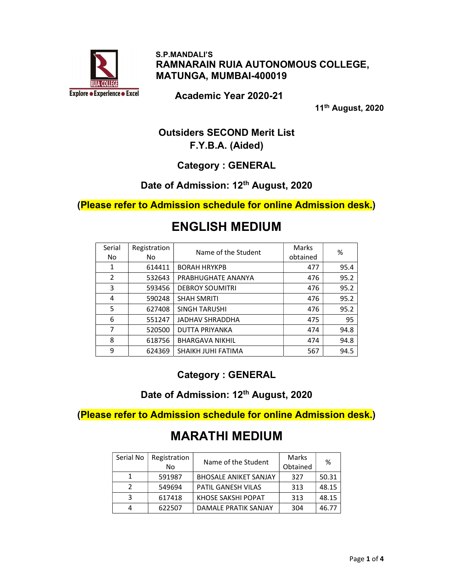

 S.P.MANDALI'S RAMNARAIN RUIA AUTONOMOUS COLLEGE, MATUNGA, MUMBAI-400019

Academic Year 2020-21

11th August, 2020

### Outsiders SECOND Merit List F.Y.B.A. (Aided)

Category : GENERAL

### Date of Admission: 12<sup>th</sup> August, 2020

(Please refer to Admission schedule for online Admission desk.)

# ENGLISH MEDIUM

| Serial       | Registration | Name of the Student    | Marks    | %    |
|--------------|--------------|------------------------|----------|------|
| No.          | No.          |                        | obtained |      |
| $\mathbf{1}$ | 614411       | <b>BORAH HRYKPB</b>    | 477      | 95.4 |
| 2            | 532643       | PRABHUGHATE ANANYA     | 476      | 95.2 |
| 3            | 593456       | <b>DEBROY SOUMITRI</b> | 476      | 95.2 |
| 4            | 590248       | <b>SHAH SMRITI</b>     | 476      | 95.2 |
| 5            | 627408       | <b>SINGH TARUSHI</b>   | 476      | 95.2 |
| 6            | 551247       | <b>JADHAV SHRADDHA</b> | 475      | 95   |
| 7            | 520500       | <b>DUTTA PRIYANKA</b>  | 474      | 94.8 |
| 8            | 618756       | <b>BHARGAVA NIKHIL</b> | 474      | 94.8 |
| 9            | 624369       | SHAIKH JUHI FATIMA     | 567      | 94.5 |

Category : GENERAL

Date of Admission: 12<sup>th</sup> August, 2020

(Please refer to Admission schedule for online Admission desk.)

# MARATHI MEDIUM

| Serial No | Registration<br>N <sub>o</sub> | Name of the Student          | Marks<br>Obtained | ℅     |
|-----------|--------------------------------|------------------------------|-------------------|-------|
|           | 591987                         | <b>BHOSALE ANIKET SANJAY</b> | 327               | 50.31 |
| っ         | 549694                         | <b>PATIL GANESH VILAS</b>    | 313               | 48.15 |
| 3         | 617418                         | KHOSE SAKSHI POPAT           | 313               | 48.15 |
| 4         | 622507                         | DAMALE PRATIK SANJAY         | 304               | 46.77 |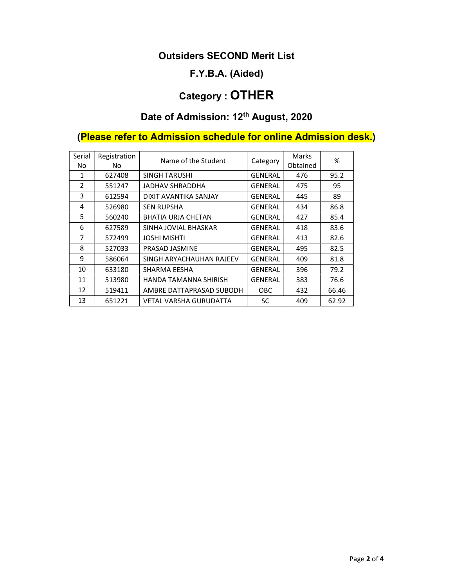#### Outsiders SECOND Merit List

### F.Y.B.A. (Aided)

# Category : OTHER

# Date of Admission: 12<sup>th</sup> August, 2020

# (Please refer to Admission schedule for online Admission desk.)

| Serial<br>No.  | Registration<br>No. | Name of the Student       | Category       | Marks<br>Obtained | %     |
|----------------|---------------------|---------------------------|----------------|-------------------|-------|
| $\mathbf{1}$   | 627408              | <b>SINGH TARUSHI</b>      | <b>GENERAL</b> | 476               | 95.2  |
| $\overline{2}$ | 551247              | JADHAV SHRADDHA           | GENERAL        | 475               | 95    |
| 3              | 612594              | DIXIT AVANTIKA SANJAY     | <b>GENERAL</b> | 445               | 89    |
| 4              | 526980              | <b>SEN RUPSHA</b>         | <b>GENERAL</b> | 434               | 86.8  |
| 5              | 560240              | <b>BHATIA URJA CHETAN</b> | <b>GENERAL</b> | 427               | 85.4  |
| 6              | 627589              | SINHA JOVIAL BHASKAR      | <b>GENERAL</b> | 418               | 83.6  |
| $\overline{7}$ | 572499              | <b>JOSHI MISHTI</b>       | <b>GENERAL</b> | 413               | 82.6  |
| 8              | 527033              | PRASAD JASMINE            | <b>GENERAL</b> | 495               | 82.5  |
| 9              | 586064              | SINGH ARYACHAUHAN RAJEEV  | <b>GENERAL</b> | 409               | 81.8  |
| 10             | 633180              | SHARMA EESHA              | <b>GENERAL</b> | 396               | 79.2  |
| 11             | 513980              | HANDA TAMANNA SHIRISH     | <b>GENERAL</b> | 383               | 76.6  |
| 12             | 519411              | AMBRE DATTAPRASAD SUBODH  | OBC            | 432               | 66.46 |
| 13             | 651221              | VETAL VARSHA GURUDATTA    | SC             | 409               | 62.92 |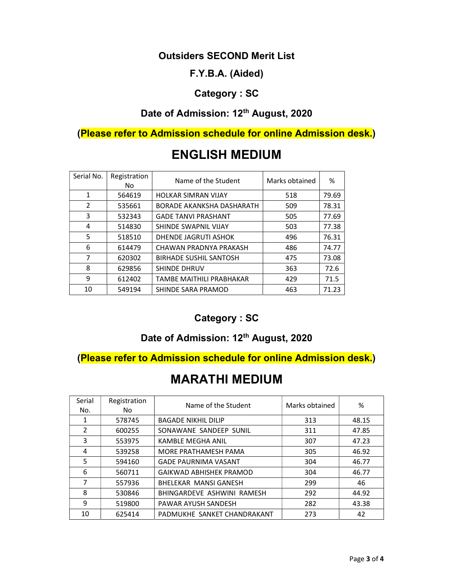#### Outsiders SECOND Merit List

#### F.Y.B.A. (Aided)

#### Category : SC

### Date of Admission: 12<sup>th</sup> August, 2020

(Please refer to Admission schedule for online Admission desk.)

| Serial No. | Registration<br>No. | Name of the Student           | Marks obtained | %     |
|------------|---------------------|-------------------------------|----------------|-------|
| 1          | 564619              | <b>HOLKAR SIMRAN VIJAY</b>    | 518            | 79.69 |
| 2          | 535661              | BORADE AKANKSHA DASHARATH     | 509            | 78.31 |
| 3          | 532343              | <b>GADE TANVI PRASHANT</b>    | 505            | 77.69 |
| 4          | 514830              | SHINDE SWAPNIL VIJAY          | 503            | 77.38 |
| 5          | 518510              | DHENDE JAGRUTI ASHOK          | 496            | 76.31 |
| 6          | 614479              | CHAWAN PRADNYA PRAKASH        | 486            | 74.77 |
| 7          | 620302              | <b>BIRHADE SUSHIL SANTOSH</b> | 475            | 73.08 |
| 8          | 629856              | SHINDE DHRUV                  | 363            | 72.6  |
| 9          | 612402              | TAMBE MAITHILI PRABHAKAR      | 429            | 71.5  |
| 10         | 549194              | SHINDE SARA PRAMOD            | 463            | 71.23 |

# ENGLISH MEDIUM

### Category : SC

### Date of Admission: 12<sup>th</sup> August, 2020

### (Please refer to Admission schedule for online Admission desk.)

## MARATHI MEDIUM

| Serial<br>No. | Registration<br>No. | Name of the Student            | Marks obtained | %     |
|---------------|---------------------|--------------------------------|----------------|-------|
| 1             | 578745              | <b>BAGADE NIKHIL DILIP</b>     | 313            | 48.15 |
| $\mathcal{P}$ | 600255              | SONAWANE SANDEEP SUNIL         | 311            | 47.85 |
| 3             | 553975              | KAMBLE MEGHA ANIL              | 307            | 47.23 |
| 4             | 539258              | MORE PRATHAMESH PAMA           | 305            | 46.92 |
| 5             | 594160              | <b>GADE PAURNIMA VASANT</b>    | 304            | 46.77 |
| 6             | 560711              | <b>GAIKWAD ABHISHEK PRAMOD</b> | 304            | 46.77 |
| 7             | 557936              | BHELEKAR MANSI GANESH          | 299            | 46    |
| 8             | 530846              | BHINGARDEVE ASHWINI RAMESH     | 292            | 44.92 |
| 9             | 519800              | PAWAR AYUSH SANDESH            | 282            | 43.38 |
| 10            | 625414              | PADMUKHE SANKET CHANDRAKANT    | 273            | 42    |